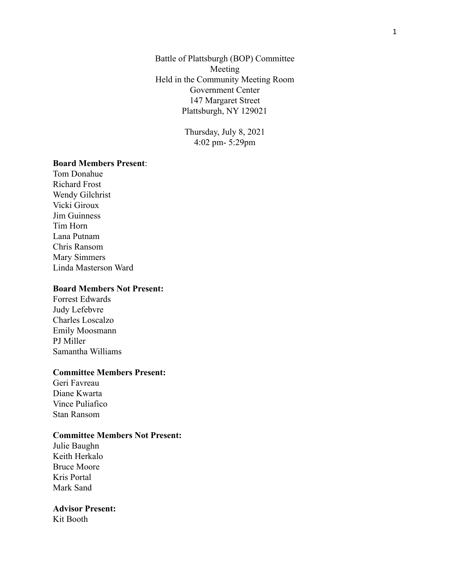Battle of Plattsburgh (BOP) Committee Meeting Held in the Community Meeting Room Government Center 147 Margaret Street Plattsburgh, NY 129021

> Thursday, July 8, 2021 4:02 pm- 5:29pm

## **Board Members Present**:

Tom Donahue Richard Frost Wendy Gilchrist Vicki Giroux Jim Guinness Tim Horn Lana Putnam Chris Ransom Mary Simmers Linda Masterson Ward

## **Board Members Not Present:**

Forrest Edwards Judy Lefebvre Charles Loscalzo Emily Moosmann PJ Miller Samantha Williams

## **Committee Members Present:**

Geri Favreau Diane Kwarta Vince Puliafico Stan Ransom

#### **Committee Members Not Present:**

Julie Baughn Keith Herkalo Bruce Moore Kris Portal Mark Sand

#### **Advisor Present:**

Kit Booth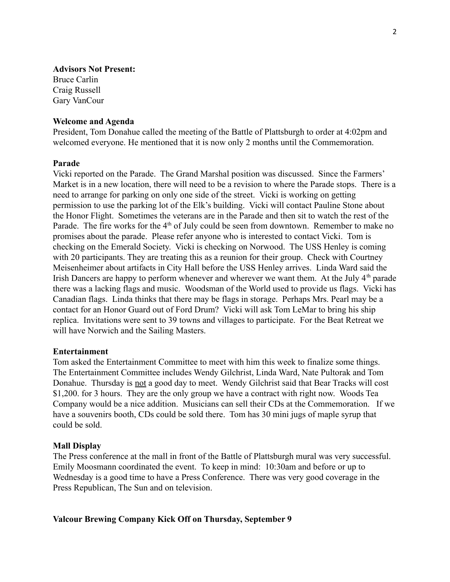## **Advisors Not Present:**

Bruce Carlin Craig Russell Gary VanCour

#### **Welcome and Agenda**

President, Tom Donahue called the meeting of the Battle of Plattsburgh to order at 4:02pm and welcomed everyone. He mentioned that it is now only 2 months until the Commemoration.

## **Parade**

Vicki reported on the Parade. The Grand Marshal position was discussed. Since the Farmers' Market is in a new location, there will need to be a revision to where the Parade stops. There is a need to arrange for parking on only one side of the street. Vicki is working on getting permission to use the parking lot of the Elk's building. Vicki will contact Pauline Stone about the Honor Flight. Sometimes the veterans are in the Parade and then sit to watch the rest of the Parade. The fire works for the 4<sup>th</sup> of July could be seen from downtown. Remember to make no promises about the parade. Please refer anyone who is interested to contact Vicki. Tom is checking on the Emerald Society. Vicki is checking on Norwood. The USS Henley is coming with 20 participants. They are treating this as a reunion for their group. Check with Courtney Meisenheimer about artifacts in City Hall before the USS Henley arrives. Linda Ward said the Irish Dancers are happy to perform whenever and wherever we want them. At the July  $4<sup>th</sup>$  parade there was a lacking flags and music. Woodsman of the World used to provide us flags. Vicki has Canadian flags. Linda thinks that there may be flags in storage. Perhaps Mrs. Pearl may be a contact for an Honor Guard out of Ford Drum? Vicki will ask Tom LeMar to bring his ship replica. Invitations were sent to 39 towns and villages to participate. For the Beat Retreat we will have Norwich and the Sailing Masters.

#### **Entertainment**

Tom asked the Entertainment Committee to meet with him this week to finalize some things. The Entertainment Committee includes Wendy Gilchrist, Linda Ward, Nate Pultorak and Tom Donahue. Thursday is not a good day to meet. Wendy Gilchrist said that Bear Tracks will cost \$1,200, for 3 hours. They are the only group we have a contract with right now. Woods Tea Company would be a nice addition. Musicians can sell their CDs at the Commemoration. If we have a souvenirs booth, CDs could be sold there. Tom has 30 mini jugs of maple syrup that could be sold.

#### **Mall Display**

The Press conference at the mall in front of the Battle of Plattsburgh mural was very successful. Emily Moosmann coordinated the event. To keep in mind: 10:30am and before or up to Wednesday is a good time to have a Press Conference. There was very good coverage in the Press Republican, The Sun and on television.

#### **Valcour Brewing Company Kick Off on Thursday, September 9**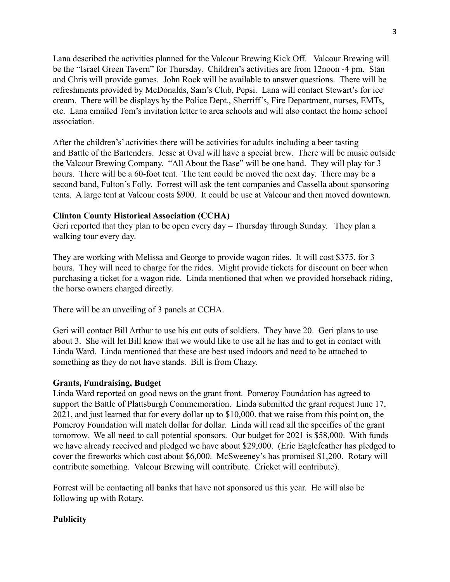Lana described the activities planned for the Valcour Brewing Kick Off. Valcour Brewing will be the "Israel Green Tavern" for Thursday. Children's activities are from 12noon -4 pm. Stan and Chris will provide games. John Rock will be available to answer questions. There will be refreshments provided by McDonalds, Sam's Club, Pepsi. Lana will contact Stewart's for ice cream. There will be displays by the Police Dept., Sherriff's, Fire Department, nurses, EMTs, etc. Lana emailed Tom's invitation letter to area schools and will also contact the home school association.

After the children's' activities there will be activities for adults including a beer tasting and Battle of the Bartenders. Jesse at Oval will have a special brew. There will be music outside the Valcour Brewing Company. "All About the Base" will be one band. They will play for 3 hours. There will be a 60-foot tent. The tent could be moved the next day. There may be a second band, Fulton's Folly. Forrest will ask the tent companies and Cassella about sponsoring tents. A large tent at Valcour costs \$900. It could be use at Valcour and then moved downtown.

## **Clinton County Historical Association (CCHA)**

Geri reported that they plan to be open every day – Thursday through Sunday. They plan a walking tour every day.

They are working with Melissa and George to provide wagon rides. It will cost \$375. for 3 hours. They will need to charge for the rides. Might provide tickets for discount on beer when purchasing a ticket for a wagon ride. Linda mentioned that when we provided horseback riding, the horse owners charged directly.

There will be an unveiling of 3 panels at CCHA.

Geri will contact Bill Arthur to use his cut outs of soldiers. They have 20. Geri plans to use about 3. She will let Bill know that we would like to use all he has and to get in contact with Linda Ward. Linda mentioned that these are best used indoors and need to be attached to something as they do not have stands. Bill is from Chazy.

## **Grants, Fundraising, Budget**

Linda Ward reported on good news on the grant front. Pomeroy Foundation has agreed to support the Battle of Plattsburgh Commemoration. Linda submitted the grant request June 17, 2021, and just learned that for every dollar up to \$10,000. that we raise from this point on, the Pomeroy Foundation will match dollar for dollar. Linda will read all the specifics of the grant tomorrow. We all need to call potential sponsors. Our budget for 2021 is \$58,000. With funds we have already received and pledged we have about \$29,000. (Eric Eaglefeather has pledged to cover the fireworks which cost about \$6,000. McSweeney's has promised \$1,200. Rotary will contribute something. Valcour Brewing will contribute. Cricket will contribute).

Forrest will be contacting all banks that have not sponsored us this year. He will also be following up with Rotary.

## **Publicity**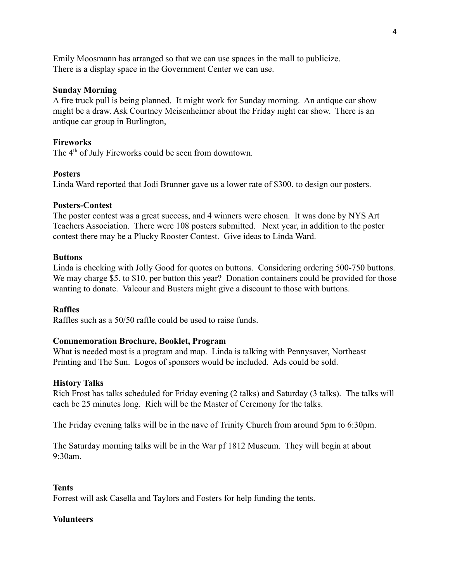Emily Moosmann has arranged so that we can use spaces in the mall to publicize. There is a display space in the Government Center we can use.

### **Sunday Morning**

A fire truck pull is being planned. It might work for Sunday morning. An antique car show might be a draw. Ask Courtney Meisenheimer about the Friday night car show. There is an antique car group in Burlington,

### **Fireworks**

The 4<sup>th</sup> of July Fireworks could be seen from downtown.

### **Posters**

Linda Ward reported that Jodi Brunner gave us a lower rate of \$300. to design our posters.

### **Posters-Contest**

The poster contest was a great success, and 4 winners were chosen. It was done by NYS Art Teachers Association. There were 108 posters submitted. Next year, in addition to the poster contest there may be a Plucky Rooster Contest. Give ideas to Linda Ward.

#### **Buttons**

Linda is checking with Jolly Good for quotes on buttons. Considering ordering 500-750 buttons. We may charge \$5. to \$10. per button this year? Donation containers could be provided for those wanting to donate. Valcour and Busters might give a discount to those with buttons.

## **Raffles**

Raffles such as a 50/50 raffle could be used to raise funds.

## **Commemoration Brochure, Booklet, Program**

What is needed most is a program and map. Linda is talking with Pennysaver, Northeast Printing and The Sun. Logos of sponsors would be included. Ads could be sold.

#### **History Talks**

Rich Frost has talks scheduled for Friday evening (2 talks) and Saturday (3 talks). The talks will each be 25 minutes long. Rich will be the Master of Ceremony for the talks.

The Friday evening talks will be in the nave of Trinity Church from around 5pm to 6:30pm.

The Saturday morning talks will be in the War pf 1812 Museum. They will begin at about  $9.30$ am

#### **Tents**

Forrest will ask Casella and Taylors and Fosters for help funding the tents.

#### **Volunteers**